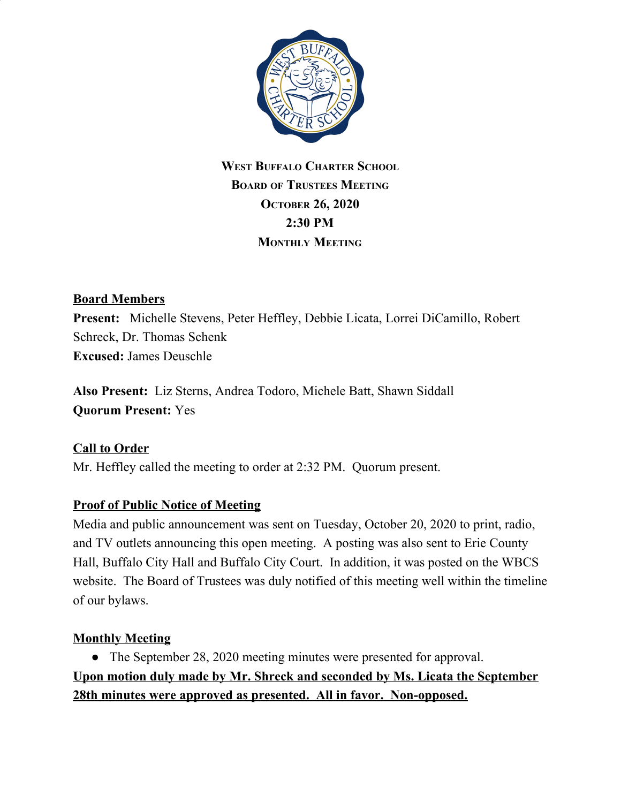

# **WEST BUFFALO CHARTER SCHOOL BOARD OF TRUSTEES MEETING OCTOBER 26, 2020 2:30 PM MONTHLY MEETING**

### **Board Members**

**Present:** Michelle Stevens, Peter Heffley, Debbie Licata, Lorrei DiCamillo, Robert Schreck, Dr. Thomas Schenk **Excused:** James Deuschle

**Also Present:** Liz Sterns, Andrea Todoro, Michele Batt, Shawn Siddall **Quorum Present:** Yes

# **Call to Order**

Mr. Heffley called the meeting to order at 2:32 PM. Quorum present.

#### **Proof of Public Notice of Meeting**

Media and public announcement was sent on Tuesday, October 20, 2020 to print, radio, and TV outlets announcing this open meeting. A posting was also sent to Erie County Hall, Buffalo City Hall and Buffalo City Court. In addition, it was posted on the WBCS website. The Board of Trustees was duly notified of this meeting well within the timeline of our bylaws.

#### **Monthly Meeting**

• The September 28, 2020 meeting minutes were presented for approval. **Upon motion duly made by Mr. Shreck and seconded by Ms. Licata the September 28th minutes were approved as presented. All in favor. Non-opposed.**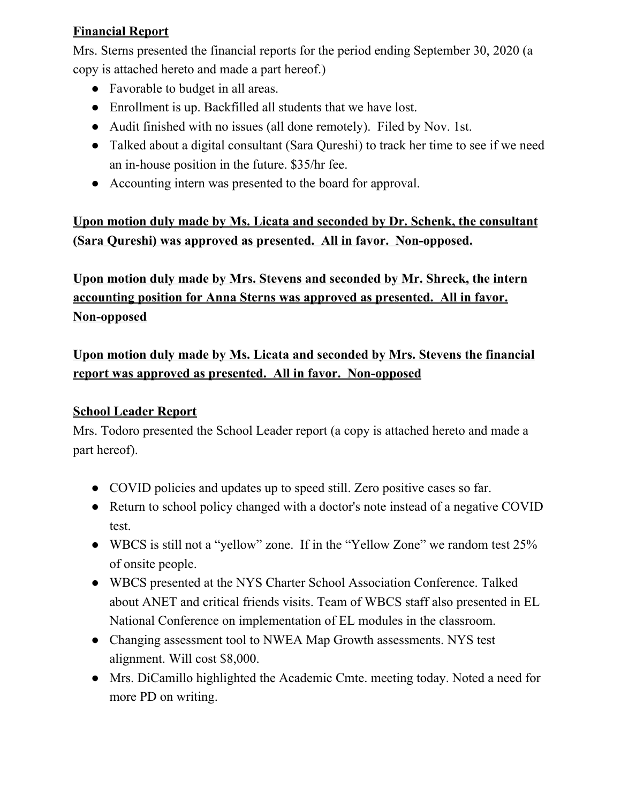# **Financial Report**

Mrs. Sterns presented the financial reports for the period ending September 30, 2020 (a copy is attached hereto and made a part hereof.)

- Favorable to budget in all areas.
- Enrollment is up. Backfilled all students that we have lost.
- Audit finished with no issues (all done remotely). Filed by Nov. 1st.
- Talked about a digital consultant (Sara Qureshi) to track her time to see if we need an in-house position in the future. \$35/hr fee.
- Accounting intern was presented to the board for approval.

**Upon motion duly made by Ms. Licata and seconded by Dr. Schenk, the consultant (Sara Qureshi) was approved as presented. All in favor. Non-opposed.**

**Upon motion duly made by Mrs. Stevens and seconded by Mr. Shreck, the intern accounting position for Anna Sterns was approved as presented. All in favor. Non-opposed**

**Upon motion duly made by Ms. Licata and seconded by Mrs. Stevens the financial report was approved as presented. All in favor. Non-opposed**

# **School Leader Report**

Mrs. Todoro presented the School Leader report (a copy is attached hereto and made a part hereof).

- COVID policies and updates up to speed still. Zero positive cases so far.
- Return to school policy changed with a doctor's note instead of a negative COVID test.
- WBCS is still not a "yellow" zone. If in the "Yellow Zone" we random test 25% of onsite people.
- WBCS presented at the NYS Charter School Association Conference. Talked about ANET and critical friends visits. Team of WBCS staff also presented in EL National Conference on implementation of EL modules in the classroom.
- Changing assessment tool to NWEA Map Growth assessments. NYS test alignment. Will cost \$8,000.
- Mrs. DiCamillo highlighted the Academic Cmte. meeting today. Noted a need for more PD on writing.